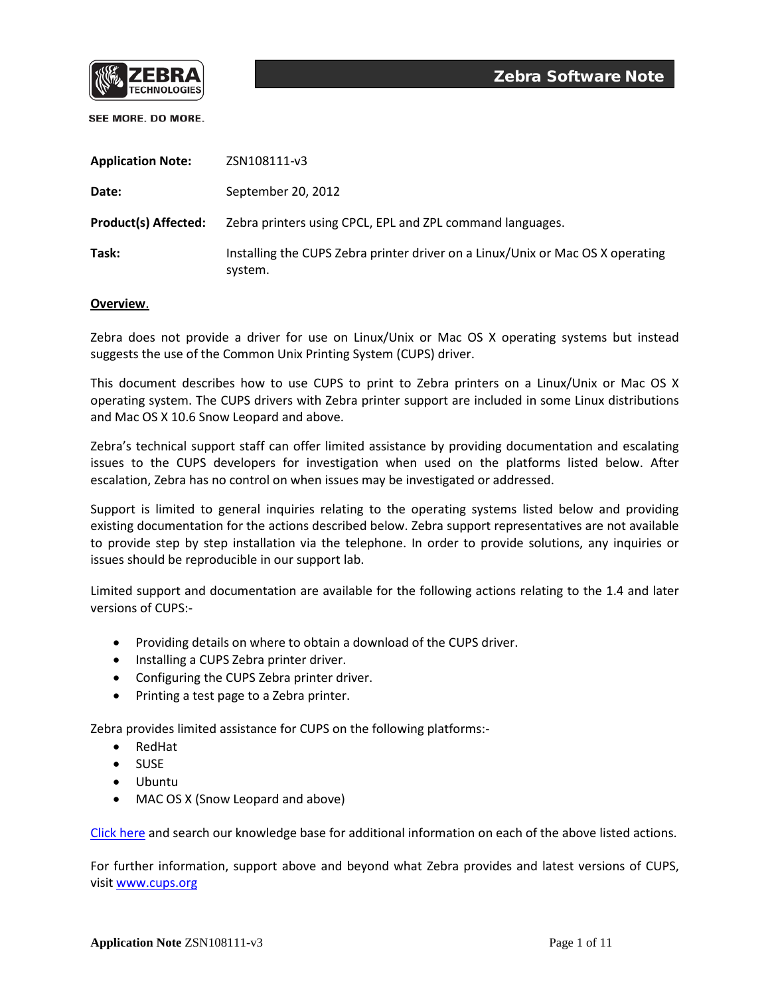

| <b>Application Note:</b>    | ZSN108111-v3                                                                              |
|-----------------------------|-------------------------------------------------------------------------------------------|
| Date:                       | September 20, 2012                                                                        |
| <b>Product(s) Affected:</b> | Zebra printers using CPCL, EPL and ZPL command languages.                                 |
| Task:                       | Installing the CUPS Zebra printer driver on a Linux/Unix or Mac OS X operating<br>system. |

## **Overview**.

Zebra does not provide a driver for use on Linux/Unix or Mac OS X operating systems but instead suggests the use of the Common Unix Printing System (CUPS) driver.

This document describes how to use CUPS to print to Zebra printers on a Linux/Unix or Mac OS X operating system. The CUPS drivers with Zebra printer support are included in some Linux distributions and Mac OS X 10.6 Snow Leopard and above.

Zebra's technical support staff can offer limited assistance by providing documentation and escalating issues to the CUPS developers for investigation when used on the platforms listed below. After escalation, Zebra has no control on when issues may be investigated or addressed.

Support is limited to general inquiries relating to the operating systems listed below and providing existing documentation for the actions described below. Zebra support representatives are not available to provide step by step installation via the telephone. In order to provide solutions, any inquiries or issues should be reproducible in our support lab.

Limited support and documentation are available for the following actions relating to the 1.4 and later versions of CUPS:-

- Providing details on where to obtain a download of the CUPS driver.
- Installing a CUPS Zebra printer driver.
- Configuring the CUPS Zebra printer driver.
- Printing a test page to a Zebra printer.

Zebra provides limited assistance for CUPS on the following platforms:-

- RedHat
- SUSE
- Ubuntu
- MAC OS X (Snow Leopard and above)

[Click here](http://km.zebra.com/) and search our knowledge base for additional information on each of the above listed actions.

For further information, support above and beyond what Zebra provides and latest versions of CUPS, visi[t www.cups.org](http://www.cups.org/)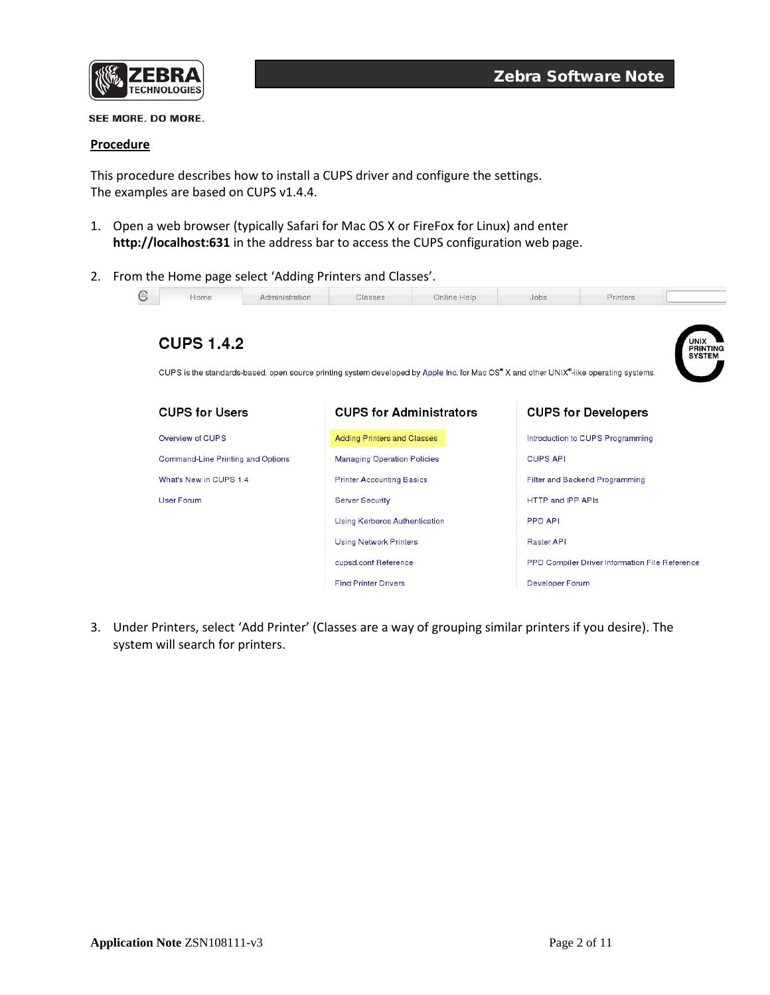

## **Procedure**

This procedure describes how to install a CUPS driver and configure the settings. The examples are based on CUPS v1.4.4.

- 1. Open a web browser (typically Safari for Mac OS X or FireFox for Linux) and enter **http://localhost:631** in the address bar to access the CUPS configuration web page.
- 2. From the Home page select 'Adding Printers and Classes'.



3. Under Printers, select 'Add Printer' (Classes are a way of grouping similar printers if you desire). The system will search for printers.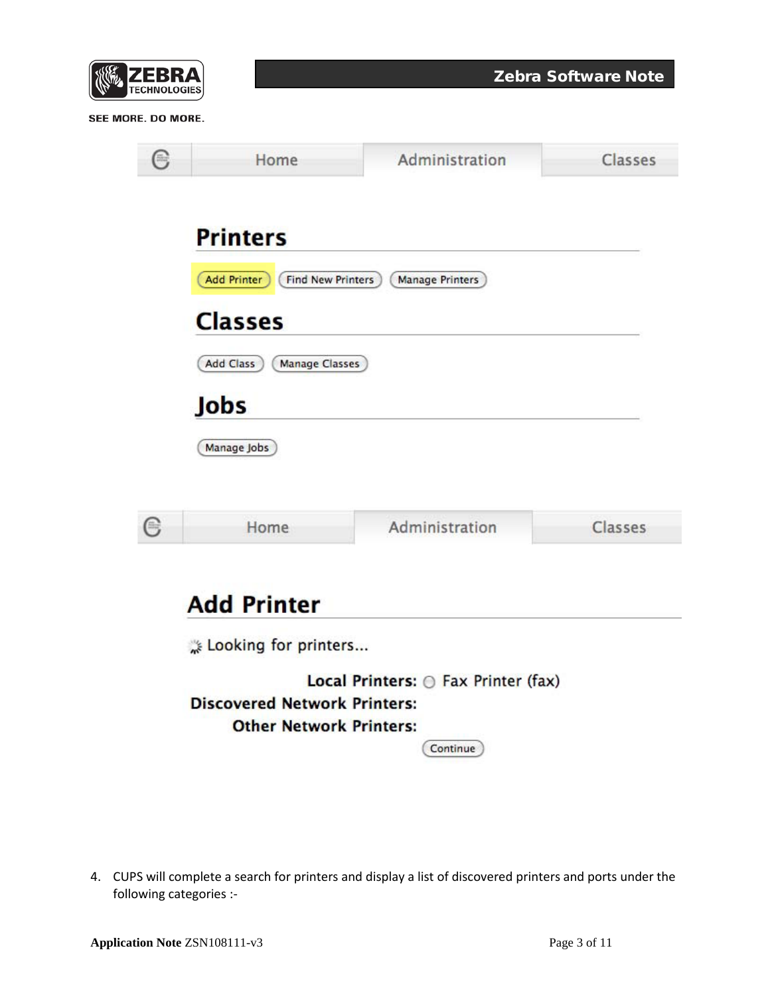| $\frac{1}{2}$<br>ЕВКА<br>◤▏<br><b>TECHNOLOGIES</b> |  |
|----------------------------------------------------|--|
|----------------------------------------------------|--|

| (*)                                                                                                                             | Home                                                              | Administration         | Classes |  |  |  |
|---------------------------------------------------------------------------------------------------------------------------------|-------------------------------------------------------------------|------------------------|---------|--|--|--|
|                                                                                                                                 | <b>Printers</b><br><b>Add Printer</b><br><b>Find New Printers</b> | <b>Manage Printers</b> |         |  |  |  |
|                                                                                                                                 | <b>Classes</b>                                                    |                        |         |  |  |  |
|                                                                                                                                 | Add Class<br><b>Manage Classes</b><br>Jobs                        |                        |         |  |  |  |
|                                                                                                                                 | Manage Jobs                                                       |                        |         |  |  |  |
| ⊜                                                                                                                               | Home                                                              | Administration         | Classes |  |  |  |
| <b>Add Printer</b><br>Looking for printers                                                                                      |                                                                   |                        |         |  |  |  |
| Local Printers: <i>O Fax Printer (fax)</i><br><b>Discovered Network Printers:</b><br><b>Other Network Printers:</b><br>Continue |                                                                   |                        |         |  |  |  |

4. CUPS will complete a search for printers and display a list of discovered printers and ports under the following categories :-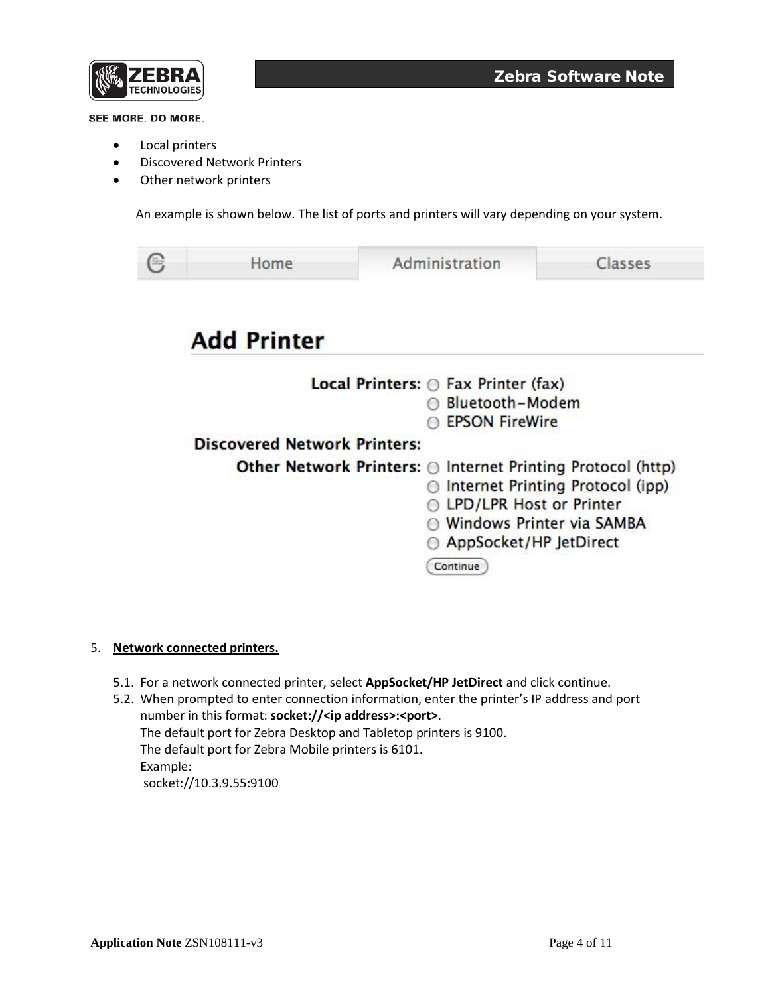

- Local printers
- Discovered Network Printers
- Other network printers

An example is shown below. The list of ports and printers will vary depending on your system.

| Home                                | Administration                                                                                                                            | Classes                                                       |  |
|-------------------------------------|-------------------------------------------------------------------------------------------------------------------------------------------|---------------------------------------------------------------|--|
| <b>Add Printer</b>                  |                                                                                                                                           |                                                               |  |
|                                     | <b>Local Printers:</b> $\odot$ Fax Printer (fax)<br>Bluetooth-Modem<br><b>EPSON FireWire</b>                                              |                                                               |  |
| <b>Discovered Network Printers:</b> |                                                                                                                                           |                                                               |  |
|                                     | Other Network Printers: ◎ Internet Printing Protocol (http)<br>69<br><b>LPD/LPR Host or Printer</b><br>AppSocket/HP JetDirect<br>Continue | Internet Printing Protocol (ipp)<br>Windows Printer via SAMBA |  |

## 5. **Network connected printers.**

5.1. For a network connected printer, select **AppSocket/HP JetDirect** and click continue.

5.2. When prompted to enter connection information, enter the printer's IP address and port number in this format: **socket://<ip address>:<port>**. The default port for Zebra Desktop and Tabletop printers is 9100. The default port for Zebra Mobile printers is 6101. Example: socket://10.3.9.55:9100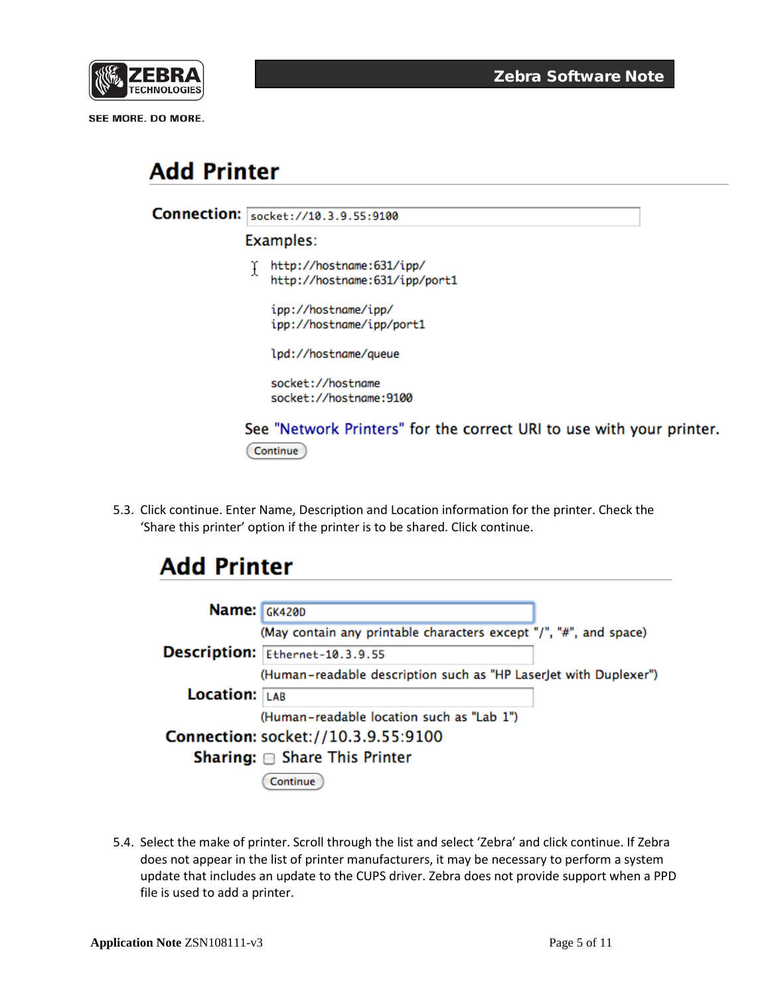

# **Add Printer**

| <b>Connection:</b> | socket://10.3.9.55:9100                                                          |  |  |  |  |
|--------------------|----------------------------------------------------------------------------------|--|--|--|--|
|                    | Examples:                                                                        |  |  |  |  |
|                    | http://hostname:631/ipp/<br>http://hostname:631/ipp/port1                        |  |  |  |  |
|                    | ipp://hostname/ipp/<br>ipp://hostname/ipp/port1                                  |  |  |  |  |
|                    | lpd://hostname/queue                                                             |  |  |  |  |
|                    | socket://hostname<br>socket://hostname:9100                                      |  |  |  |  |
|                    | See "Network Printers" for the correct URI to use with your printer.<br>Continue |  |  |  |  |
|                    |                                                                                  |  |  |  |  |

5.3. Click continue. Enter Name, Description and Location information for the printer. Check the 'Share this printer' option if the printer is to be shared. Click continue.

## **Add Printer**

| Name: GK420D                        |                                                                   |  |
|-------------------------------------|-------------------------------------------------------------------|--|
|                                     | (May contain any printable characters except "/", "#", and space) |  |
|                                     | Description: Ethernet-10.3.9.55                                   |  |
|                                     | (Human-readable description such as "HP LaserJet with Duplexer")  |  |
| <b>Location:</b> LAB                |                                                                   |  |
|                                     | (Human-readable location such as "Lab 1")                         |  |
| Connection: socket://10.3.9.55:9100 |                                                                   |  |
|                                     | <b>Sharing:</b> $\oplus$ Share This Printer                       |  |
|                                     | Continue                                                          |  |

5.4. Select the make of printer. Scroll through the list and select 'Zebra' and click continue. If Zebra does not appear in the list of printer manufacturers, it may be necessary to perform a system update that includes an update to the CUPS driver. Zebra does not provide support when a PPD file is used to add a printer.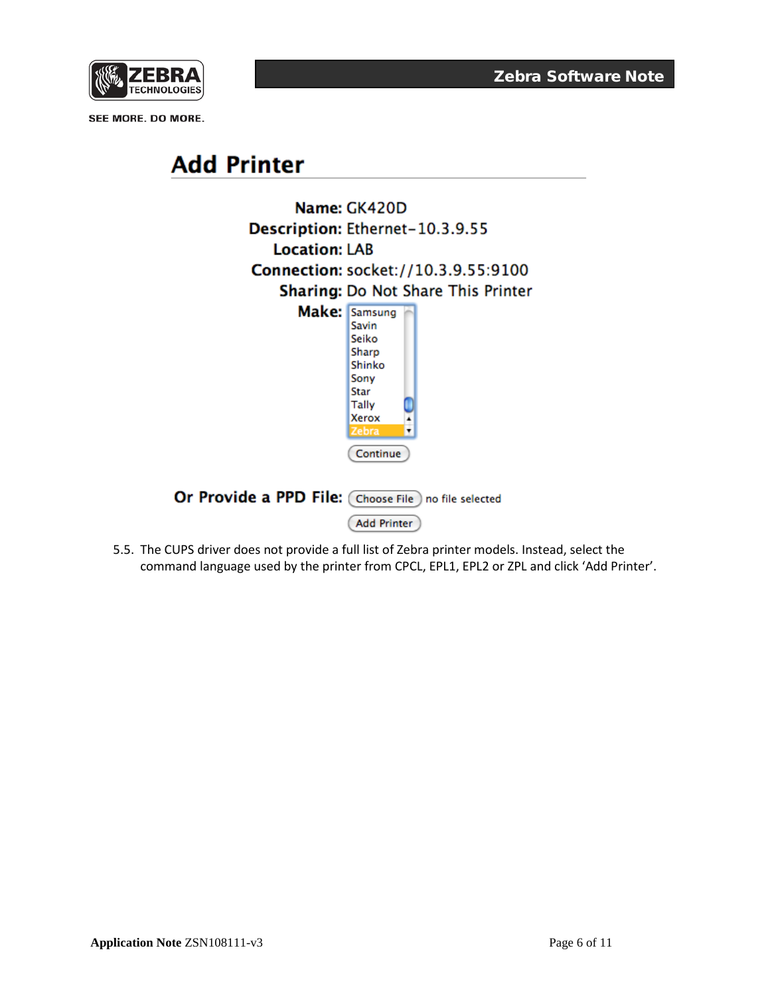

# **Add Printer**



5.5. The CUPS driver does not provide a full list of Zebra printer models. Instead, select the command language used by the printer from CPCL, EPL1, EPL2 or ZPL and click 'Add Printer'.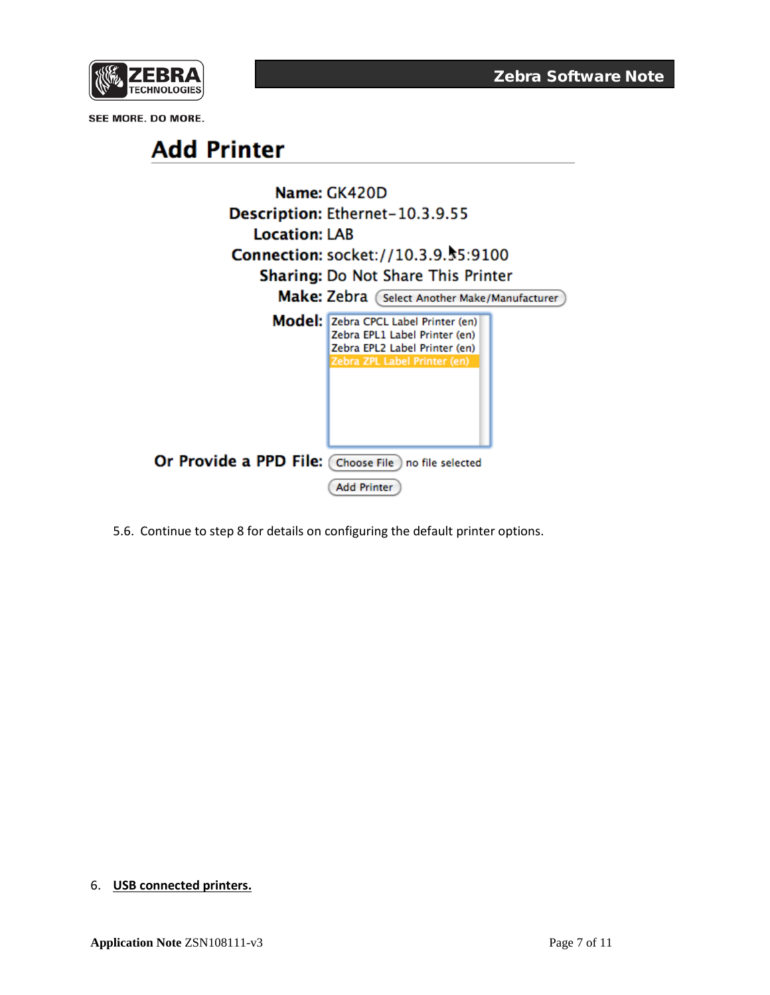



5.6. Continue to step 8 for details on configuring the default printer options.

## 6. **USB connected printers.**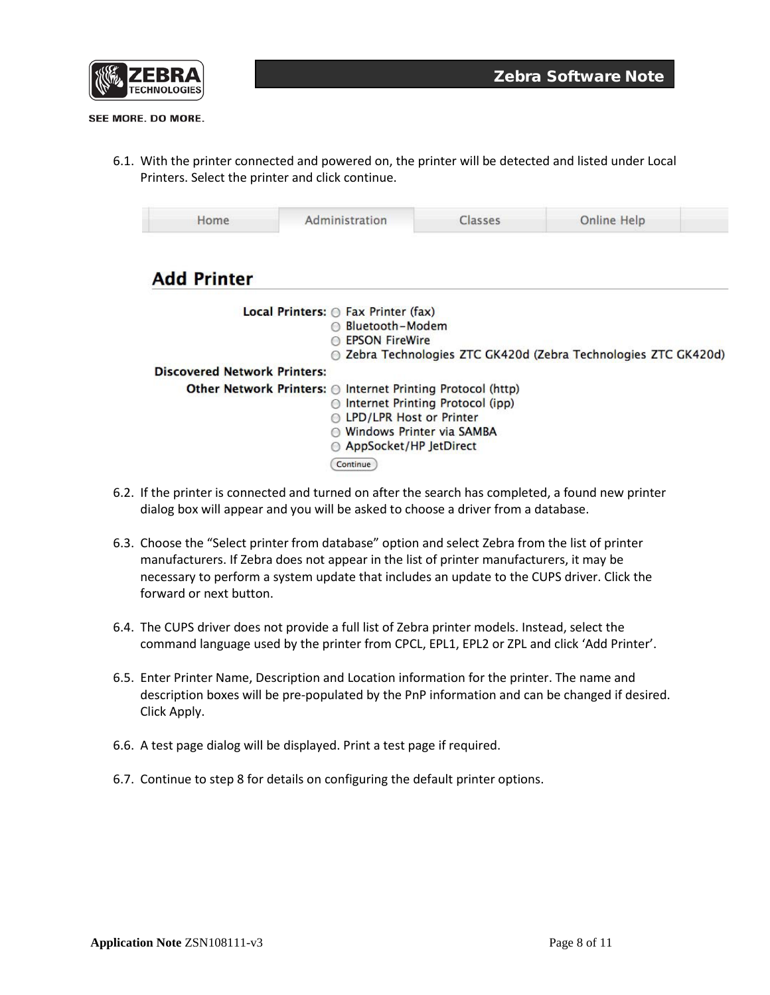

6.1. With the printer connected and powered on, the printer will be detected and listed under Local Printers. Select the printer and click continue.

| Home                                | Administration                                              | Classes                          | <b>Online Help</b>                                            |  |
|-------------------------------------|-------------------------------------------------------------|----------------------------------|---------------------------------------------------------------|--|
| <b>Add Printer</b>                  |                                                             |                                  |                                                               |  |
|                                     | Local Printers: $\odot$ Fax Printer (fax)                   |                                  |                                                               |  |
|                                     | ∩ Bluetooth-Modem                                           |                                  |                                                               |  |
|                                     | <b>EPSON FireWire</b>                                       |                                  |                                                               |  |
|                                     |                                                             |                                  | Zebra Technologies ZTC GK420d (Zebra Technologies ZTC GK420d) |  |
| <b>Discovered Network Printers:</b> |                                                             |                                  |                                                               |  |
|                                     | Other Network Printers: @ Internet Printing Protocol (http) |                                  |                                                               |  |
|                                     | $\bigcirc$                                                  | Internet Printing Protocol (ipp) |                                                               |  |
|                                     | ◎ LPD/LPR Host or Printer                                   |                                  |                                                               |  |
|                                     | ◯ Windows Printer via SAMBA                                 |                                  |                                                               |  |
|                                     | ◎ AppSocket/HP JetDirect                                    |                                  |                                                               |  |
|                                     | Continue                                                    |                                  |                                                               |  |

- 6.2. If the printer is connected and turned on after the search has completed, a found new printer dialog box will appear and you will be asked to choose a driver from a database.
- 6.3. Choose the "Select printer from database" option and select Zebra from the list of printer manufacturers. If Zebra does not appear in the list of printer manufacturers, it may be necessary to perform a system update that includes an update to the CUPS driver. Click the forward or next button.
- 6.4. The CUPS driver does not provide a full list of Zebra printer models. Instead, select the command language used by the printer from CPCL, EPL1, EPL2 or ZPL and click 'Add Printer'.
- 6.5. Enter Printer Name, Description and Location information for the printer. The name and description boxes will be pre-populated by the PnP information and can be changed if desired. Click Apply.
- 6.6. A test page dialog will be displayed. Print a test page if required.
- 6.7. Continue to step 8 for details on configuring the default printer options.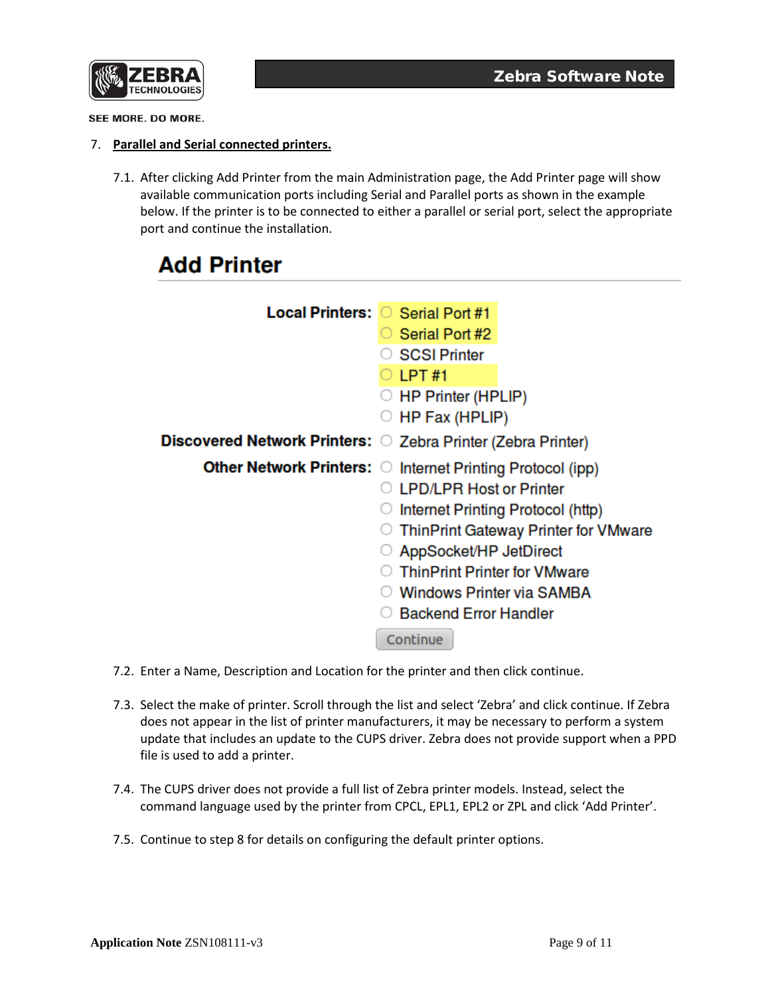

## 7. **Parallel and Serial connected printers.**

7.1. After clicking Add Printer from the main Administration page, the Add Printer page will show available communication ports including Serial and Parallel ports as shown in the example below. If the printer is to be connected to either a parallel or serial port, select the appropriate port and continue the installation.

## **Add Printer**

| Local Printers: O Serial Port #1                             |                                                            |
|--------------------------------------------------------------|------------------------------------------------------------|
|                                                              | Serial Port #2                                             |
|                                                              | <b>SCSI Printer</b>                                        |
|                                                              | LPT#1                                                      |
|                                                              | $\circ$ HP Printer (HPLIP)                                 |
|                                                              | HP Fax (HPLIP)                                             |
| Discovered Network Printers: O Zebra Printer (Zebra Printer) |                                                            |
|                                                              | Other Network Printers: O Internet Printing Protocol (ipp) |
|                                                              | <b>LPD/LPR Host or Printer</b>                             |
|                                                              | Internet Printing Protocol (http)                          |
|                                                              | ThinPrint Gateway Printer for VMware                       |
|                                                              | AppSocket/HP JetDirect                                     |
|                                                              | <b>ThinPrint Printer for VMware</b>                        |
|                                                              | <b>Windows Printer via SAMBA</b>                           |
|                                                              | <b>Backend Error Handler</b>                               |
|                                                              | Continue                                                   |

- 7.2. Enter a Name, Description and Location for the printer and then click continue.
- 7.3. Select the make of printer. Scroll through the list and select 'Zebra' and click continue. If Zebra does not appear in the list of printer manufacturers, it may be necessary to perform a system update that includes an update to the CUPS driver. Zebra does not provide support when a PPD file is used to add a printer.
- 7.4. The CUPS driver does not provide a full list of Zebra printer models. Instead, select the command language used by the printer from CPCL, EPL1, EPL2 or ZPL and click 'Add Printer'.
- 7.5. Continue to step 8 for details on configuring the default printer options.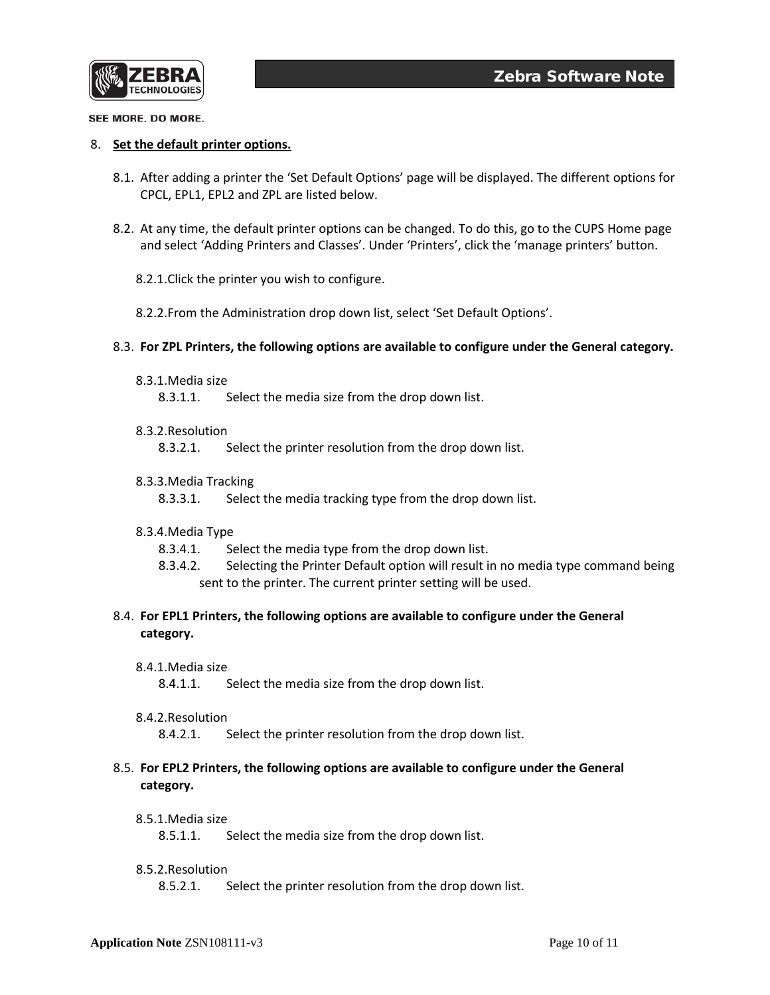

## 8. **Set the default printer options.**

- 8.1. After adding a printer the 'Set Default Options' page will be displayed. The different options for CPCL, EPL1, EPL2 and ZPL are listed below.
- 8.2. At any time, the default printer options can be changed. To do this, go to the CUPS Home page and select 'Adding Printers and Classes'. Under 'Printers', click the 'manage printers' button.
	- 8.2.1.Click the printer you wish to configure.
	- 8.2.2.From the Administration drop down list, select 'Set Default Options'.
- 8.3. **For ZPL Printers, the following options are available to configure under the General category.**
	- 8.3.1.Media size

8.3.1.1. Select the media size from the drop down list.

## 8.3.2.Resolution

8.3.2.1. Select the printer resolution from the drop down list.

#### 8.3.3.Media Tracking

8.3.3.1. Select the media tracking type from the drop down list.

## 8.3.4.Media Type

- 8.3.4.1. Select the media type from the drop down list.
- 8.3.4.2. Selecting the Printer Default option will result in no media type command being sent to the printer. The current printer setting will be used.

## 8.4. **For EPL1 Printers, the following options are available to configure under the General category.**

8.4.1.Media size

8.4.1.1. Select the media size from the drop down list.

#### 8.4.2.Resolution

8.4.2.1. Select the printer resolution from the drop down list.

## 8.5. **For EPL2 Printers, the following options are available to configure under the General category.**

## 8.5.1.Media size

8.5.1.1. Select the media size from the drop down list.

## 8.5.2.Resolution

8.5.2.1. Select the printer resolution from the drop down list.